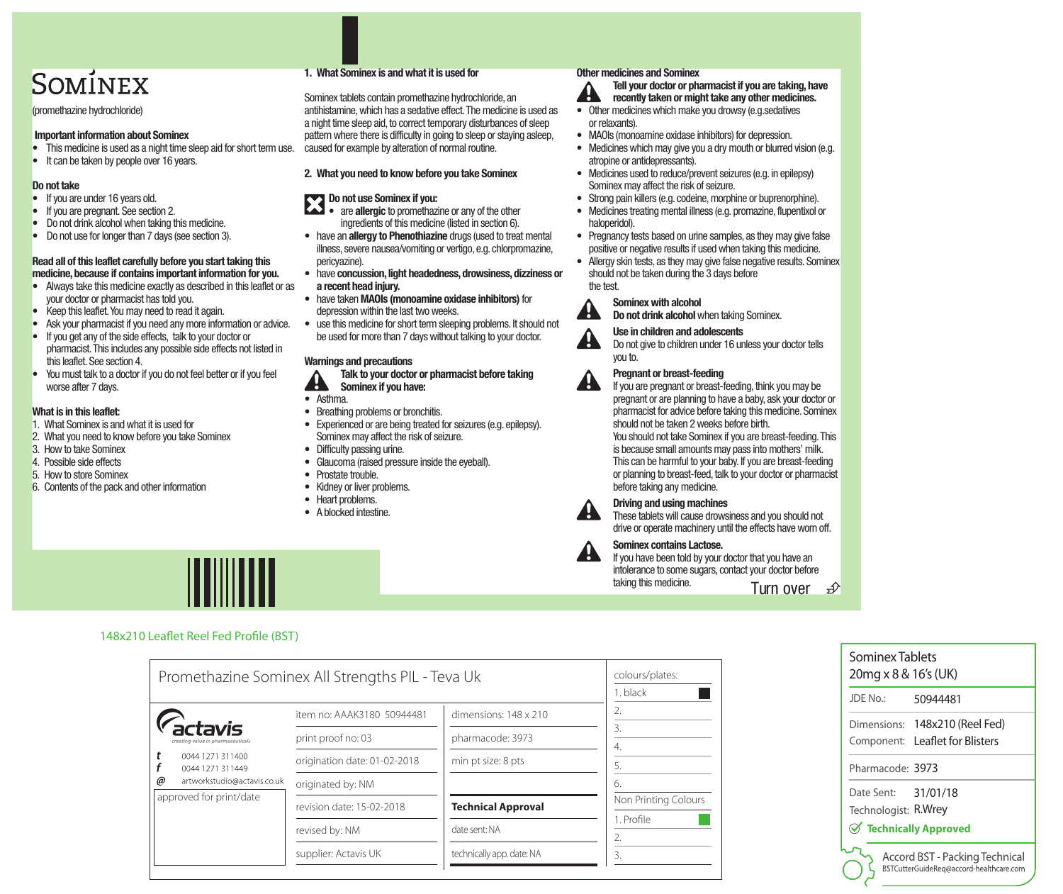# SOMÍNEX

(promethazine hydrochloride)

#### Important information about Sominex

- This medicine is used as a night time sleep aid for short term use.
- It can be taken by people over 16 years.

## Do not take

- If you are under 16 years old.
- If you are pregnant. See section 2.
- Do not drink alcohol when taking this medicine.
- Do not use for longer than 7 days (see section 3).

#### Read all of this leaflet carefully before you start taking this medicine, because if contains important information for you.

- Always take this medicine exactly as described in this leaflet or as your doctor or pharmacist has told you.
- Keep this leaflet. You may need to read it again.
- Ask your pharmacist if you need any more information or advice.
- If you get any of the side effects, talk to your doctor or pharmacist. This includes any possible side effects not listed in this leaflet. See section 4.
- You must talk to a doctor if you do not feel better or if you feel worse after 7 days.

# What is in this leaflet:

- 1. What Sominex is and what it is used for
- 2. What you need to know before you take Sominex
- 3. How to take Sominex
- 4. Possible side effects
- 5. How to store Sominex
- 6. Contents of the pack and other information

# 1. What Sominex is and what it is used for

Sominex tablets contain promethazine hydrochloride, an antihistamine, which has a sedative effect. The medicine is used as a night time sleep aid, to correct temporary disturbances of sleep pattern where there is difficulty in going to sleep or staying asleep, caused for example by alteration of normal routine.

# 2. What you need to know before you take Sominex

# Do not use Sominex if you:

- are **allergic** to promethazine or any of the other ingredients of this medicine (listed in section 6).
- have an allergy to Phenothiazine drugs (used to treat mental illness, severe nausea/vomiting or vertigo, e.g. chlorpromazine, pericyazine).
- have concussion, light headedness, drowsiness, dizziness or a recent head injury.
- have taken MAOIs (monoamine oxidase inhibitors) for depression within the last two weeks.
- use this medicine for short term sleeping problems. It should not be used for more than 7 days without talking to your doctor.

# Warnings and precautions

Talk to your doctor or pharmacist before taking Sominex if you have:

- Asthma.
- Breathing problems or bronchitis.
- Experienced or are being treated for seizures (e.g. epilepsy). Sominex may affect the risk of seizure.
- Difficulty passing urine.
- Glaucoma (raised pressure inside the eyeball).
- Prostate trouble.
- Kidney or liver problems.
- Heart problems.
- A blocked intestine.

# Other medicines and Sominex

Tell your doctor or pharmacist if you are taking, have recently taken or might take any other medicines.

- Other medicines which make you drowsy (e.g.sedatives or relaxants).
- MAOIs (monoamine oxidase inhibitors) for depression.
- Medicines which may give you a dry mouth or blurred vision (e.g. atropine or antidepressants).
- Medicines used to reduce/prevent seizures (e.g. in epilepsy) Sominex may affect the risk of seizure.
- Strong pain killers (e.g. codeine, morphine or buprenorphine).
- Medicines treating mental illness (e.g. promazine, flupentixol or haloperidol).
- Pregnancy tests based on urine samples, as they may give false positive or negative results if used when taking this medicine.
- Allergy skin tests, as they may give false negative results. Sominex should not be taken during the 3 days before the test.



**A** 

# Sominex with alcohol

Do not drink alcohol when taking Sominex.



# Use in children and adolescents

Do not give to children under 16 unless your doctor tells you to.



# Pregnant or breast-feeding

If you are pregnant or breast-feeding, think you may be pregnant or are planning to have a baby, ask your doctor or pharmacist for advice before taking this medicine. Sominex should not be taken 2 weeks before birth.

You should not take Sominex if you are breast-feeding. This is because small amounts may pass into mothers' milk. This can be harmful to your baby. If you are breast-feeding or planning to breast-feed, talk to your doctor or pharmacist before taking any medicine.



## Driving and using machines

These tablets will cause drowsiness and you should not drive or operate machinery until the effects have worn off.



#### Sominex contains Lactose.

If you have been told by your doctor that you have an intolerance to some sugars, contact your doctor before taking this medicine.<br>
Turn over